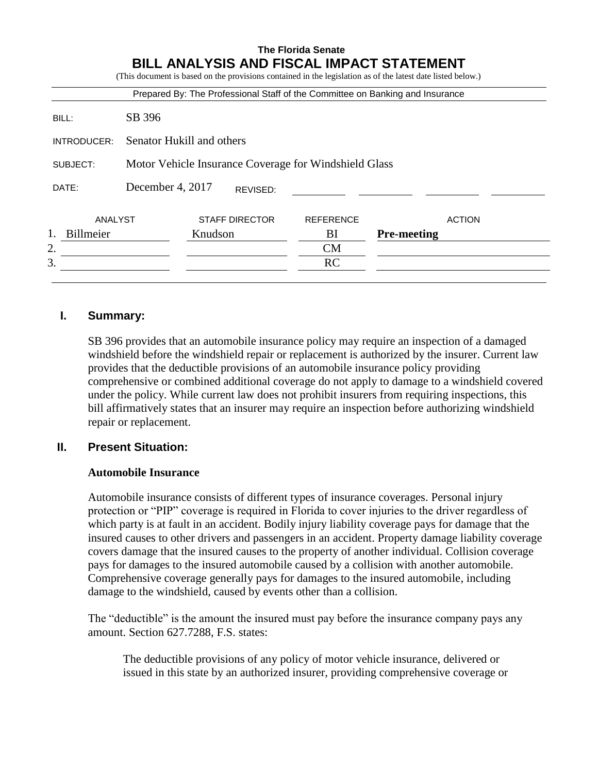|             |                                                       |                       |          |                  | Prepared By: The Professional Staff of the Committee on Banking and Insurance |  |  |  |  |  |
|-------------|-------------------------------------------------------|-----------------------|----------|------------------|-------------------------------------------------------------------------------|--|--|--|--|--|
| BILL:       | SB 396                                                |                       |          |                  |                                                                               |  |  |  |  |  |
| INTRODUCER: | Senator Hukill and others                             |                       |          |                  |                                                                               |  |  |  |  |  |
| SUBJECT:    | Motor Vehicle Insurance Coverage for Windshield Glass |                       |          |                  |                                                                               |  |  |  |  |  |
| DATE:       | December 4, 2017                                      |                       | REVISED: |                  |                                                                               |  |  |  |  |  |
| ANALYST     |                                                       | <b>STAFF DIRECTOR</b> |          | <b>REFERENCE</b> | <b>ACTION</b>                                                                 |  |  |  |  |  |
| Billmeier   |                                                       | Knudson               |          | BI               | <b>Pre-meeting</b>                                                            |  |  |  |  |  |
| 2.          |                                                       |                       |          | <b>CM</b>        |                                                                               |  |  |  |  |  |
| 3.          |                                                       |                       |          | RC               |                                                                               |  |  |  |  |  |

# **I. Summary:**

SB 396 provides that an automobile insurance policy may require an inspection of a damaged windshield before the windshield repair or replacement is authorized by the insurer. Current law provides that the deductible provisions of an automobile insurance policy providing comprehensive or combined additional coverage do not apply to damage to a windshield covered under the policy. While current law does not prohibit insurers from requiring inspections, this bill affirmatively states that an insurer may require an inspection before authorizing windshield repair or replacement.

# **II. Present Situation:**

## **Automobile Insurance**

Automobile insurance consists of different types of insurance coverages. Personal injury protection or "PIP" coverage is required in Florida to cover injuries to the driver regardless of which party is at fault in an accident. Bodily injury liability coverage pays for damage that the insured causes to other drivers and passengers in an accident. Property damage liability coverage covers damage that the insured causes to the property of another individual. Collision coverage pays for damages to the insured automobile caused by a collision with another automobile. Comprehensive coverage generally pays for damages to the insured automobile, including damage to the windshield, caused by events other than a collision.

The "deductible" is the amount the insured must pay before the insurance company pays any amount. Section 627.7288, F.S. states:

The deductible provisions of any policy of motor vehicle insurance, delivered or issued in this state by an authorized insurer, providing comprehensive coverage or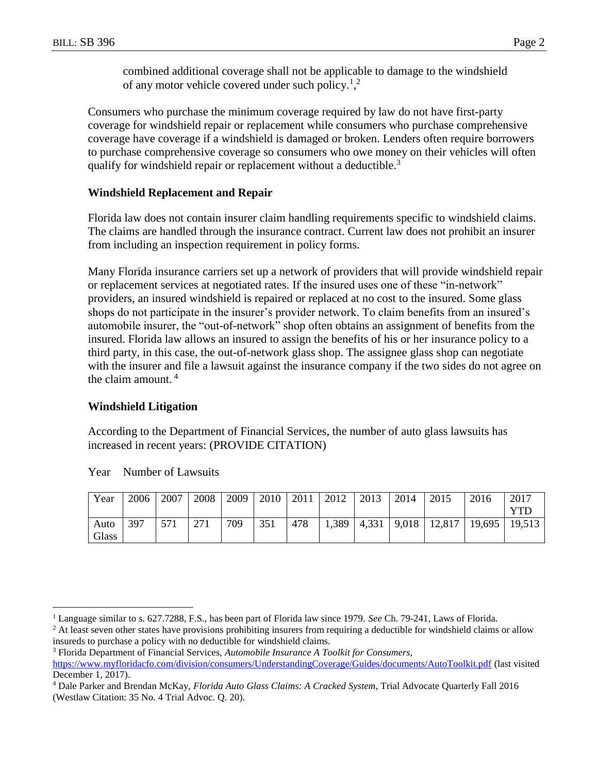combined additional coverage shall not be applicable to damage to the windshield of any motor vehicle covered under such policy.<sup>1</sup>,<sup>2</sup>

Consumers who purchase the minimum coverage required by law do not have first-party coverage for windshield repair or replacement while consumers who purchase comprehensive coverage have coverage if a windshield is damaged or broken. Lenders often require borrowers to purchase comprehensive coverage so consumers who owe money on their vehicles will often qualify for windshield repair or replacement without a deductible.<sup>3</sup>

## **Windshield Replacement and Repair**

Florida law does not contain insurer claim handling requirements specific to windshield claims. The claims are handled through the insurance contract. Current law does not prohibit an insurer from including an inspection requirement in policy forms.

Many Florida insurance carriers set up a network of providers that will provide windshield repair or replacement services at negotiated rates. If the insured uses one of these "in-network" providers, an insured windshield is repaired or replaced at no cost to the insured. Some glass shops do not participate in the insurer's provider network. To claim benefits from an insured's automobile insurer, the "out-of-network" shop often obtains an assignment of benefits from the insured. Florida law allows an insured to assign the benefits of his or her insurance policy to a third party, in this case, the out-of-network glass shop. The assignee glass shop can negotiate with the insurer and file a lawsuit against the insurance company if the two sides do not agree on the claim amount. <sup>4</sup>

## **Windshield Litigation**

According to the Department of Financial Services, the number of auto glass lawsuits has increased in recent years: (PROVIDE CITATION)

| Year  | 2006 | 2007 | 2008 | 2009 | 2010 | 2011 | 2012 | 2013 | 2014 | 2015                                                    | 2016 | 2017 |
|-------|------|------|------|------|------|------|------|------|------|---------------------------------------------------------|------|------|
|       |      |      |      |      |      |      |      |      |      |                                                         |      | YTD  |
| Auto  | 397  | 571  | 271  | 709  | 351  | 478  |      |      |      | $\mid$ 1,389   4,331   9,018   12,817   19,695   19,513 |      |      |
| Glass |      |      |      |      |      |      |      |      |      |                                                         |      |      |

Year Number of Lawsuits

 $\overline{a}$ 

<sup>1</sup> Language similar to s. 627.7288, F.S., has been part of Florida law since 1979. *See* Ch. 79-241, Laws of Florida.

<sup>&</sup>lt;sup>2</sup> At least seven other states have provisions prohibiting insurers from requiring a deductible for windshield claims or allow insureds to purchase a policy with no deductible for windshield claims.

<sup>3</sup> Florida Department of Financial Services, *Automobile Insurance A Toolkit for Consumers*, <https://www.myfloridacfo.com/division/consumers/UnderstandingCoverage/Guides/documents/AutoToolkit.pdf> (last visited December 1, 2017).

<sup>4</sup> Dale Parker and Brendan McKay, *Florida Auto Glass Claims: A Cracked System*, Trial Advocate Quarterly Fall 2016 (Westlaw Citation: 35 No. 4 Trial Advoc. Q. 20).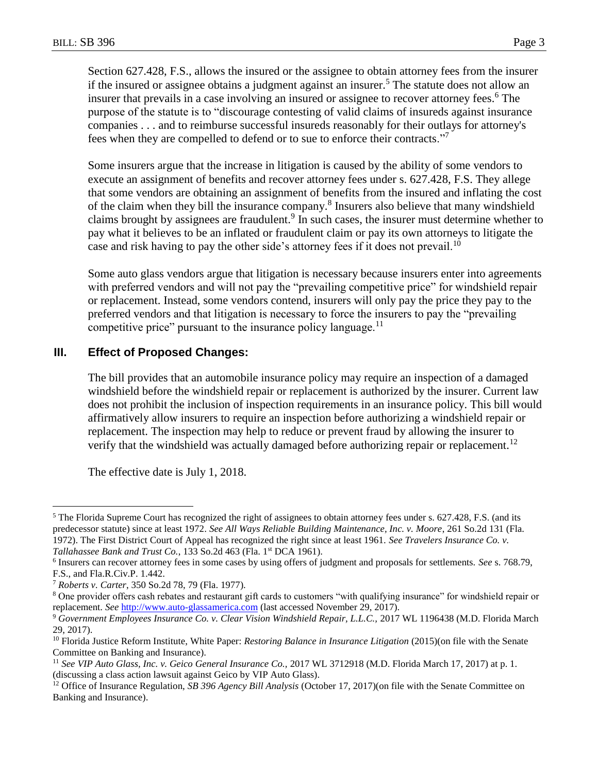Section 627.428, F.S., allows the insured or the assignee to obtain attorney fees from the insurer if the insured or assignee obtains a judgment against an insurer.<sup>5</sup> The statute does not allow an insurer that prevails in a case involving an insured or assignee to recover attorney fees.<sup>6</sup> The purpose of the statute is to "discourage contesting of valid claims of insureds against insurance companies . . . and to reimburse successful insureds reasonably for their outlays for attorney's fees when they are compelled to defend or to sue to enforce their contracts."

Some insurers argue that the increase in litigation is caused by the ability of some vendors to execute an assignment of benefits and recover attorney fees under s. 627.428, F.S. They allege that some vendors are obtaining an assignment of benefits from the insured and inflating the cost of the claim when they bill the insurance company.<sup>8</sup> Insurers also believe that many windshield claims brought by assignees are fraudulent.<sup>9</sup> In such cases, the insurer must determine whether to pay what it believes to be an inflated or fraudulent claim or pay its own attorneys to litigate the case and risk having to pay the other side's attorney fees if it does not prevail.<sup>10</sup>

Some auto glass vendors argue that litigation is necessary because insurers enter into agreements with preferred vendors and will not pay the "prevailing competitive price" for windshield repair or replacement. Instead, some vendors contend, insurers will only pay the price they pay to the preferred vendors and that litigation is necessary to force the insurers to pay the "prevailing competitive price" pursuant to the insurance policy language. $11$ 

## **III. Effect of Proposed Changes:**

The bill provides that an automobile insurance policy may require an inspection of a damaged windshield before the windshield repair or replacement is authorized by the insurer. Current law does not prohibit the inclusion of inspection requirements in an insurance policy. This bill would affirmatively allow insurers to require an inspection before authorizing a windshield repair or replacement. The inspection may help to reduce or prevent fraud by allowing the insurer to verify that the windshield was actually damaged before authorizing repair or replacement.<sup>12</sup>

The effective date is July 1, 2018.

 $\overline{a}$ 

<sup>5</sup> The Florida Supreme Court has recognized the right of assignees to obtain attorney fees under s. 627.428, F.S. (and its predecessor statute) since at least 1972. *See All Ways Reliable Building Maintenance, Inc. v. Moore*, 261 So.2d 131 (Fla. 1972). The First District Court of Appeal has recognized the right since at least 1961. *See Travelers Insurance Co. v. Tallahassee Bank and Trust Co.*, 133 So.2d 463 (Fla. 1<sup>st</sup> DCA 1961).

<sup>6</sup> Insurers can recover attorney fees in some cases by using offers of judgment and proposals for settlements. *See* s. 768.79, F.S., and Fla.R.Civ.P. 1.442.

<sup>7</sup> *Roberts v. Carter*, 350 So.2d 78, 79 (Fla. 1977).

<sup>&</sup>lt;sup>8</sup> One provider offers cash rebates and restaurant gift cards to customers "with qualifying insurance" for windshield repair or replacement. *See* [http://www.auto-glassamerica.com](http://www.auto-glassamerica.com/) (last accessed November 29, 2017).

<sup>&</sup>lt;sup>9</sup> Government Employees Insurance Co. v. Clear Vision Windshield Repair, L.L.C., 2017 WL 1196438 (M.D. Florida March 29, 2017).

<sup>10</sup> Florida Justice Reform Institute, White Paper: *Restoring Balance in Insurance Litigation* (2015)(on file with the Senate Committee on Banking and Insurance).

<sup>11</sup> *See VIP Auto Glass, Inc. v. Geico General Insurance Co.,* 2017 WL 3712918 (M.D. Florida March 17, 2017) at p. 1. (discussing a class action lawsuit against Geico by VIP Auto Glass).

<sup>&</sup>lt;sup>12</sup> Office of Insurance Regulation, *SB 396 Agency Bill Analysis* (October 17, 2017)(on file with the Senate Committee on Banking and Insurance).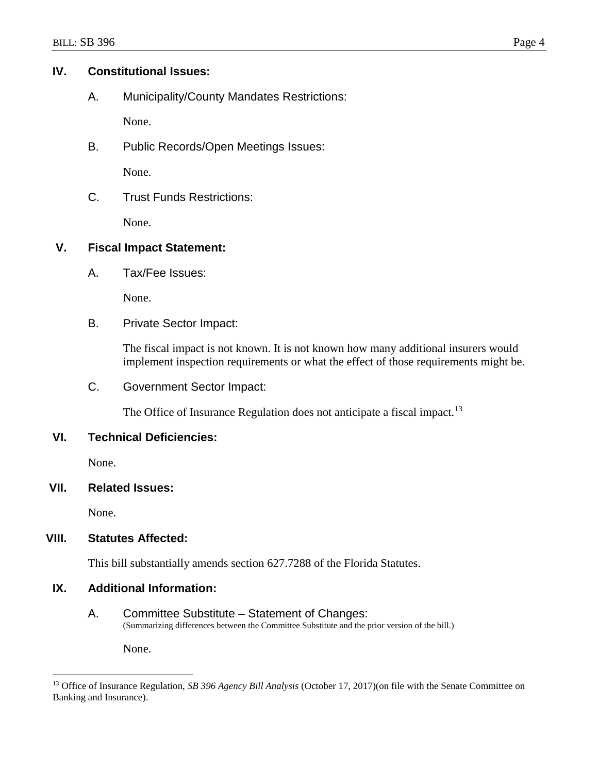## **IV. Constitutional Issues:**

A. Municipality/County Mandates Restrictions:

None.

B. Public Records/Open Meetings Issues:

None.

C. Trust Funds Restrictions:

None.

# **V. Fiscal Impact Statement:**

A. Tax/Fee Issues:

None.

B. Private Sector Impact:

The fiscal impact is not known. It is not known how many additional insurers would implement inspection requirements or what the effect of those requirements might be.

C. Government Sector Impact:

The Office of Insurance Regulation does not anticipate a fiscal impact.<sup>13</sup>

# **VI. Technical Deficiencies:**

None.

# **VII. Related Issues:**

None.

 $\overline{a}$ 

# **VIII. Statutes Affected:**

This bill substantially amends section 627.7288 of the Florida Statutes.

## **IX. Additional Information:**

A. Committee Substitute – Statement of Changes: (Summarizing differences between the Committee Substitute and the prior version of the bill.)

None.

<sup>13</sup> Office of Insurance Regulation, *SB 396 Agency Bill Analysis* (October 17, 2017)(on file with the Senate Committee on Banking and Insurance).